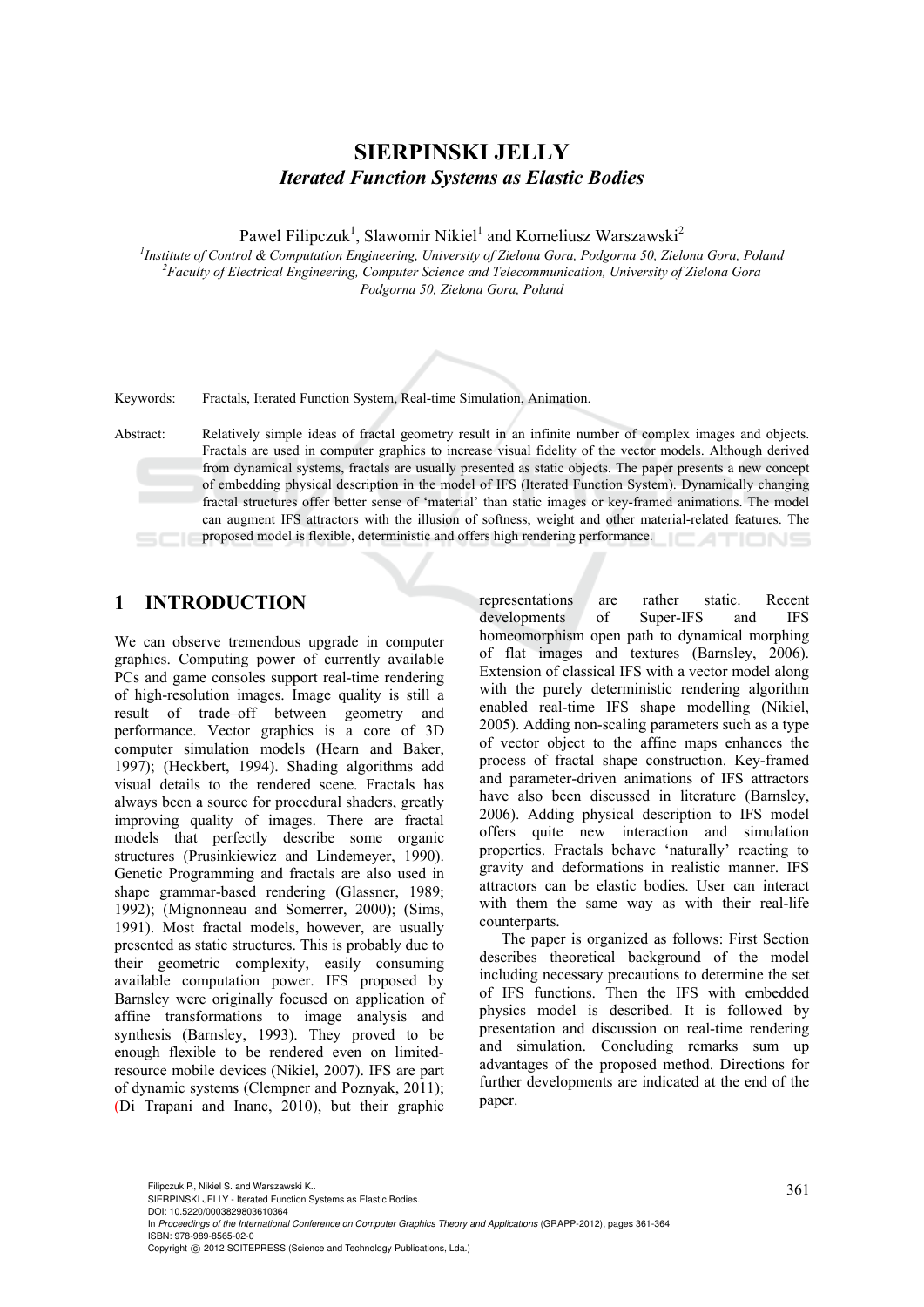# **SIERPINSKI JELLY**  *Iterated Function Systems as Elastic Bodies*

Pawel Filipczuk<sup>1</sup>, Slawomir Nikiel<sup>1</sup> and Korneliusz Warszawski<sup>2</sup>

<sup>*I</sup>Institute of Control & Computation Engineering, University of Zielona Gora, Podgorna 50, Zielona Gora, Poland <sup>2</sup> Eggyln of Electrical Engineering Computation Computation Iniversity of Zielona Gora</sup> Faculty of Electrical Engineering, Computer Science and Telecommunication, University of Zielona Gora Podgorna 50, Zielona Gora, Poland* 



Keywords: Fractals, Iterated Function System, Real-time Simulation, Animation.

Abstract: Relatively simple ideas of fractal geometry result in an infinite number of complex images and objects. Fractals are used in computer graphics to increase visual fidelity of the vector models. Although derived from dynamical systems, fractals are usually presented as static objects. The paper presents a new concept of embedding physical description in the model of IFS (Iterated Function System). Dynamically changing fractal structures offer better sense of 'material' than static images or key-framed animations. The model can augment IFS attractors with the illusion of softness, weight and other material-related features. The proposed model is flexible, deterministic and offers high rendering performance.

# **1 INTRODUCTION**

We can observe tremendous upgrade in computer graphics. Computing power of currently available PCs and game consoles support real-time rendering of high-resolution images. Image quality is still a result of trade–off between geometry and performance. Vector graphics is a core of 3D computer simulation models (Hearn and Baker, 1997); (Heckbert, 1994). Shading algorithms add visual details to the rendered scene. Fractals has always been a source for procedural shaders, greatly improving quality of images. There are fractal models that perfectly describe some organic structures (Prusinkiewicz and Lindemeyer, 1990). Genetic Programming and fractals are also used in shape grammar-based rendering (Glassner, 1989; 1992); (Mignonneau and Somerrer, 2000); (Sims, 1991). Most fractal models, however, are usually presented as static structures. This is probably due to their geometric complexity, easily consuming available computation power. IFS proposed by Barnsley were originally focused on application of affine transformations to image analysis and synthesis (Barnsley, 1993). They proved to be enough flexible to be rendered even on limitedresource mobile devices (Nikiel, 2007). IFS are part of dynamic systems (Clempner and Poznyak, 2011); (Di Trapani and Inanc, 2010), but their graphic

representations are rather static. Recent developments of Super-IFS and IFS homeomorphism open path to dynamical morphing of flat images and textures (Barnsley, 2006). Extension of classical IFS with a vector model along with the purely deterministic rendering algorithm enabled real-time IFS shape modelling (Nikiel, 2005). Adding non-scaling parameters such as a type of vector object to the affine maps enhances the process of fractal shape construction. Key-framed and parameter-driven animations of IFS attractors have also been discussed in literature (Barnsley, 2006). Adding physical description to IFS model offers quite new interaction and simulation properties. Fractals behave 'naturally' reacting to gravity and deformations in realistic manner. IFS attractors can be elastic bodies. User can interact with them the same way as with their real-life counterparts.

The paper is organized as follows: First Section describes theoretical background of the model including necessary precautions to determine the set of IFS functions. Then the IFS with embedded physics model is described. It is followed by presentation and discussion on real-time rendering and simulation. Concluding remarks sum up advantages of the proposed method. Directions for further developments are indicated at the end of the paper.

In *Proceedings of the International Conference on Computer Graphics Theory and Applications* (GRAPP-2012), pages 361-364 ISBN: 978-989-8565-02-0

Filipczuk P., Nikiel S. and Warszawski K..<br>SIERPINSKI JELLY - Iterated Function Systems as Elastic Bodies. DOI: 10.5220/0003829803610364

Copyright © 2012 SCITEPRESS (Science and Technology Publications, Lda.)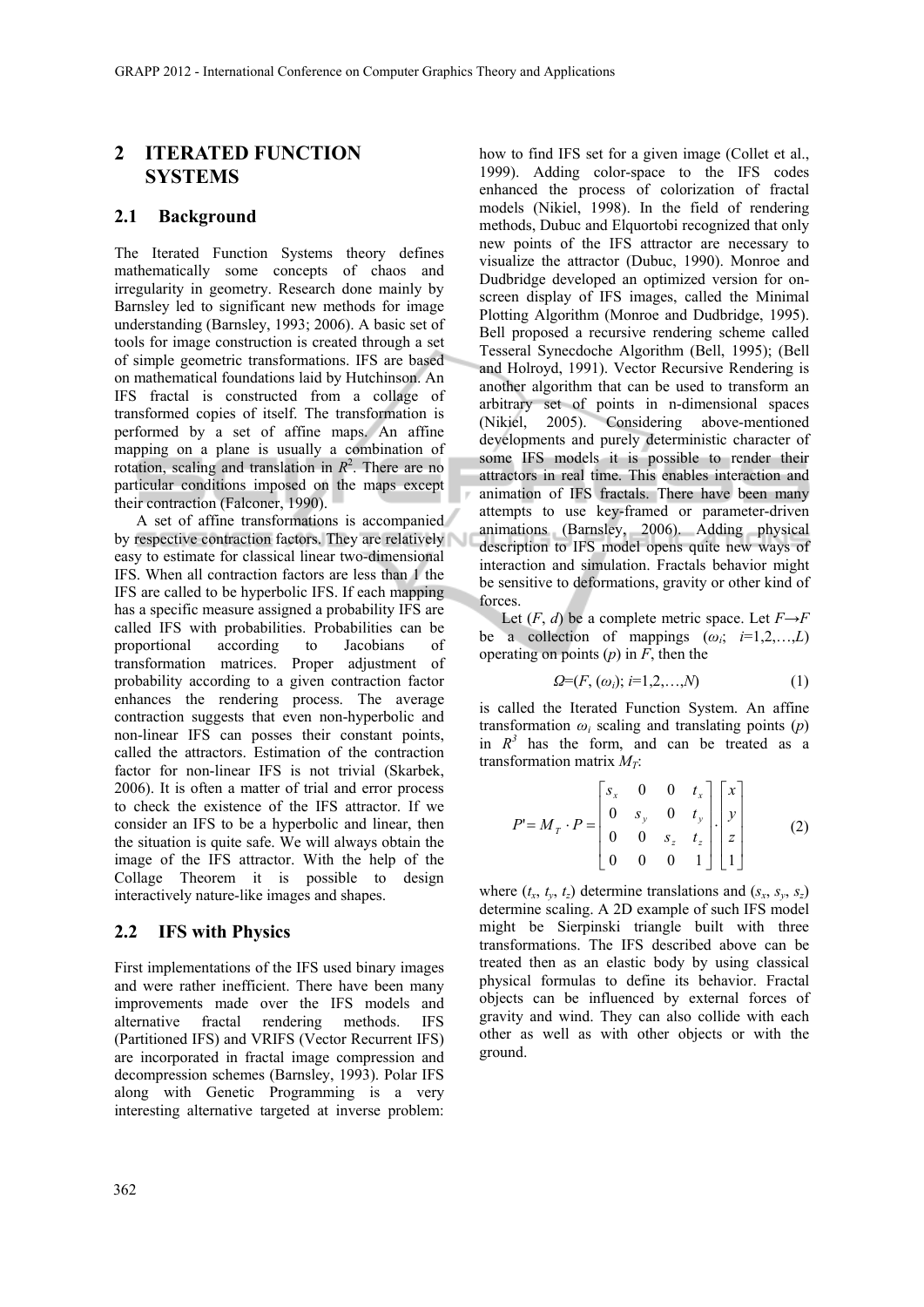## **2 ITERATED FUNCTION SYSTEMS**

### **2.1 Background**

The Iterated Function Systems theory defines mathematically some concepts of chaos and irregularity in geometry. Research done mainly by Barnsley led to significant new methods for image understanding (Barnsley, 1993; 2006). A basic set of tools for image construction is created through a set of simple geometric transformations. IFS are based on mathematical foundations laid by Hutchinson. An IFS fractal is constructed from a collage of transformed copies of itself. The transformation is performed by a set of affine maps. An affine mapping on a plane is usually a combination of rotation, scaling and translation in  $R^2$ . There are no particular conditions imposed on the maps except their contraction (Falconer, 1990).

A set of affine transformations is accompanied by respective contraction factors. They are relatively easy to estimate for classical linear two-dimensional IFS. When all contraction factors are less than 1 the IFS are called to be hyperbolic IFS. If each mapping has a specific measure assigned a probability IFS are called IFS with probabilities. Probabilities can be proportional according to Jacobians of transformation matrices. Proper adjustment of probability according to a given contraction factor enhances the rendering process. The average contraction suggests that even non-hyperbolic and non-linear IFS can posses their constant points, called the attractors. Estimation of the contraction factor for non-linear IFS is not trivial (Skarbek, 2006). It is often a matter of trial and error process to check the existence of the IFS attractor. If we consider an IFS to be a hyperbolic and linear, then the situation is quite safe. We will always obtain the image of the IFS attractor. With the help of the Collage Theorem it is possible to design interactively nature-like images and shapes.

#### **2.2 IFS with Physics**

First implementations of the IFS used binary images and were rather inefficient. There have been many improvements made over the IFS models and alternative fractal rendering methods. IFS (Partitioned IFS) and VRIFS (Vector Recurrent IFS) are incorporated in fractal image compression and decompression schemes (Barnsley, 1993). Polar IFS along with Genetic Programming is a very interesting alternative targeted at inverse problem:

how to find IFS set for a given image (Collet et al., 1999). Adding color-space to the IFS codes enhanced the process of colorization of fractal models (Nikiel, 1998). In the field of rendering methods, Dubuc and Elquortobi recognized that only new points of the IFS attractor are necessary to visualize the attractor (Dubuc, 1990). Monroe and Dudbridge developed an optimized version for onscreen display of IFS images, called the Minimal Plotting Algorithm (Monroe and Dudbridge, 1995). Bell proposed a recursive rendering scheme called Tesseral Synecdoche Algorithm (Bell, 1995); (Bell and Holroyd, 1991). Vector Recursive Rendering is another algorithm that can be used to transform an arbitrary set of points in n-dimensional spaces (Nikiel, 2005). Considering above-mentioned developments and purely deterministic character of some IFS models it is possible to render their attractors in real time. This enables interaction and animation of IFS fractals. There have been many attempts to use key-framed or parameter-driven animations (Barnsley, 2006). Adding physical description to IFS model opens quite new ways of interaction and simulation. Fractals behavior might be sensitive to deformations, gravity or other kind of forces.

Let  $(F, d)$  be a complete metric space. Let  $F \rightarrow F$ be a collection of mappings  $(\omega_i; i=1,2,...,L)$ operating on points  $(p)$  in  $F$ , then the

$$
\Omega = (F, (\omega_i); i=1,2,...,N) \tag{1}
$$

is called the Iterated Function System. An affine transformation  $\omega_i$  scaling and translating points  $(p)$ in  $R<sup>3</sup>$  has the form, and can be treated as a transformation matrix  $M_T$ :

$$
P'=M_T \cdot P = \begin{bmatrix} s_x & 0 & 0 & t_x \\ 0 & s_y & 0 & t_y \\ 0 & 0 & s_z & t_z \\ 0 & 0 & 0 & 1 \end{bmatrix} \begin{bmatrix} x \\ y \\ z \\ 1 \end{bmatrix}
$$
 (2)

where  $(t_x, t_y, t_z)$  determine translations and  $(s_x, s_y, s_z)$ determine scaling. A 2D example of such IFS model might be Sierpinski triangle built with three transformations. The IFS described above can be treated then as an elastic body by using classical physical formulas to define its behavior. Fractal objects can be influenced by external forces of gravity and wind. They can also collide with each other as well as with other objects or with the ground.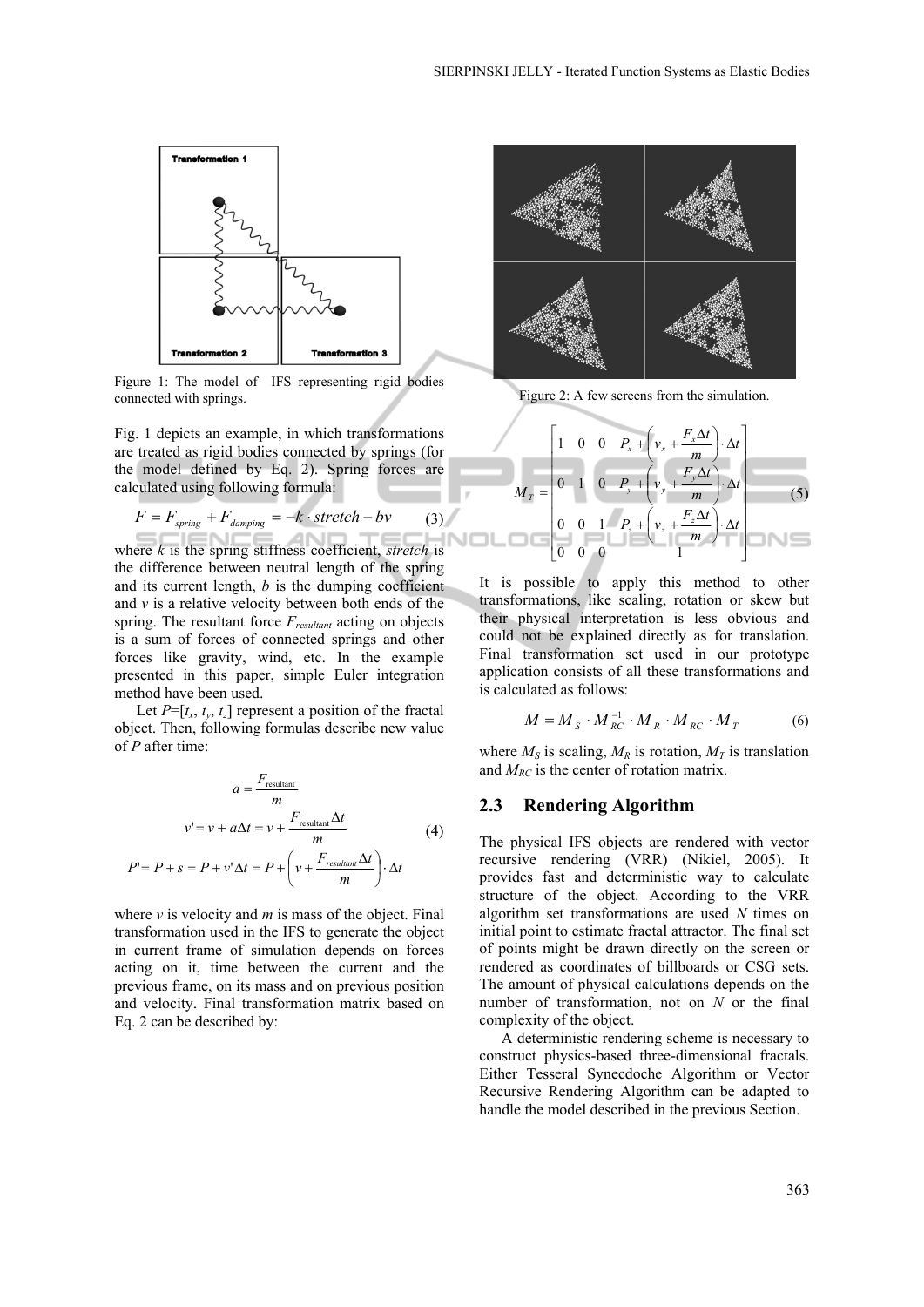

Figure 1: The model of IFS representing rigid bodies connected with springs.

Fig. 1 depicts an example, in which transformations are treated as rigid bodies connected by springs (for the model defined by Eq. 2). Spring forces are calculated using following formula:

$$
F = F_{spring} + F_{damping} = -k \cdot stretch - bv \tag{3}
$$

where  $k$  is the spring stiffness coefficient, *stretch* is the difference between neutral length of the spring and its current length, *b* is the dumping coefficient and *v* is a relative velocity between both ends of the spring. The resultant force *Fresultant* acting on objects is a sum of forces of connected springs and other forces like gravity, wind, etc. In the example presented in this paper, simple Euler integration method have been used.

Let  $P=[t_x, t_y, t_z]$  represent a position of the fractal object. Then, following formulas describe new value of *P* after time:

$$
a = \frac{F_{\text{resultant}}}{m}
$$
  

$$
v' = v + a\Delta t = v + \frac{F_{\text{resultant}}\Delta t}{m}
$$
 (4)  

$$
P' = P + s = P + v'\Delta t = P + \left(v + \frac{F_{\text{resultant}}\Delta t}{m}\right) \cdot \Delta t
$$

where  $\nu$  is velocity and  $m$  is mass of the object. Final transformation used in the IFS to generate the object in current frame of simulation depends on forces acting on it, time between the current and the previous frame, on its mass and on previous position and velocity. Final transformation matrix based on Eq. 2 can be described by:



Figure 2: A few screens from the simulation.

$$
M_{T} = \begin{bmatrix} 1 & 0 & 0 & P_{x} + \left(v_{x} + \frac{F_{x}\Delta t}{m}\right) \cdot \Delta t \\ 0 & 1 & 0 & P_{y} + \left(v_{y} + \frac{F_{y}\Delta t}{m}\right) \cdot \Delta t \\ 0 & 0 & 1 & P_{z} + \left(v_{z} + \frac{F_{z}\Delta t}{m}\right) \cdot \Delta t \\ 0 & 0 & 0 & 1 \end{bmatrix}
$$
(5)

It is possible to apply this method to other transformations, like scaling, rotation or skew but their physical interpretation is less obvious and could not be explained directly as for translation. Final transformation set used in our prototype application consists of all these transformations and is calculated as follows:

$$
M = M_{s} \cdot M_{RC}^{-1} \cdot M_{R} \cdot M_{RC} \cdot M_{T}
$$
 (6)

where  $M_S$  is scaling,  $M_R$  is rotation,  $M_T$  is translation and  $M_{RC}$  is the center of rotation matrix.

#### **2.3 Rendering Algorithm**

The physical IFS objects are rendered with vector recursive rendering (VRR) (Nikiel, 2005). It provides fast and deterministic way to calculate structure of the object. According to the VRR algorithm set transformations are used *N* times on initial point to estimate fractal attractor. The final set of points might be drawn directly on the screen or rendered as coordinates of billboards or CSG sets. The amount of physical calculations depends on the number of transformation, not on *N* or the final complexity of the object.

A deterministic rendering scheme is necessary to construct physics-based three-dimensional fractals. Either Tesseral Synecdoche Algorithm or Vector Recursive Rendering Algorithm can be adapted to handle the model described in the previous Section.